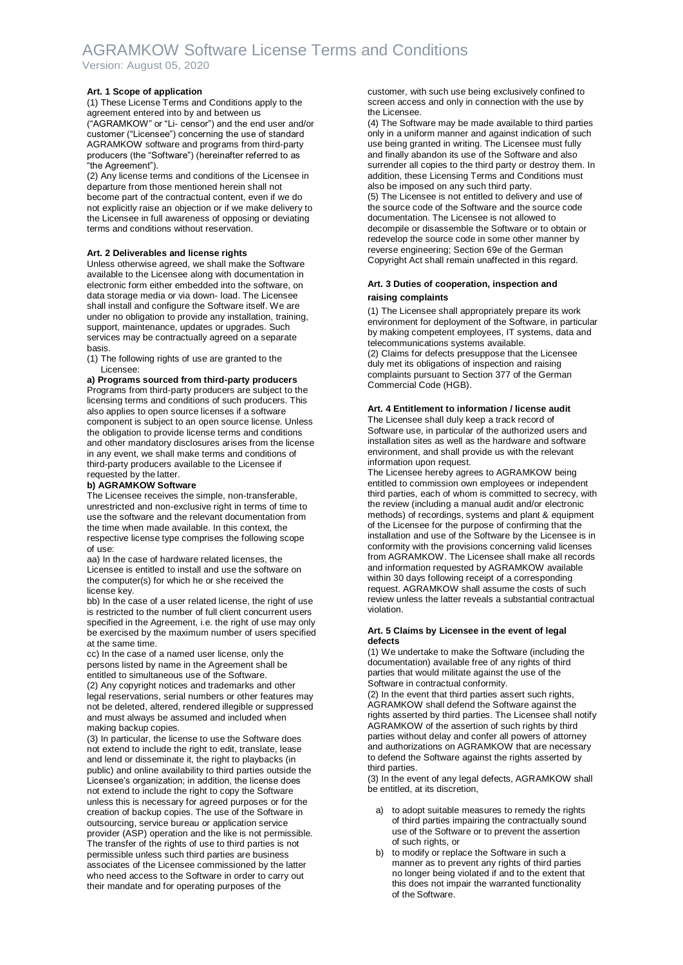## AGRAMKOW Software License Terms and Conditions Version: August 05, 2020

## **Art. 1 Scope of application**

(1) These License Terms and Conditions apply to the agreement entered into by and between us ("AGRAMKOW" or "Li- censor") and the end user and/or customer ("Licensee") concerning the use of standard AGRAMKOW software and programs from third-party producers (the "Software") (hereinafter referred to as "the Agreement").

(2) Any license terms and conditions of the Licensee in departure from those mentioned herein shall not become part of the contractual content, even if we do not explicitly raise an objection or if we make delivery to the Licensee in full awareness of opposing or deviating terms and conditions without reservation.

#### **Art. 2 Deliverables and license rights**

Unless otherwise agreed, we shall make the Software available to the Licensee along with documentation in electronic form either embedded into the software, on data storage media or via down- load. The Licensee shall install and configure the Software itself. We are under no obligation to provide any installation, training, support, maintenance, updates or upgrades. Such services may be contractually agreed on a separate basis.

(1) The following rights of use are granted to the Licensee:

**a) Programs sourced from third-party producers**  Programs from third-party producers are subject to the licensing terms and conditions of such producers. This also applies to open source licenses if a software component is subject to an open source license. Unless the obligation to provide license terms and conditions and other mandatory disclosures arises from the license in any event, we shall make terms and conditions of third-party producers available to the Licensee if requested by the latter.

### **b) AGRAMKOW Software**

The Licensee receives the simple, non-transferable, unrestricted and non-exclusive right in terms of time to use the software and the relevant documentation from the time when made available. In this context, the respective license type comprises the following scope of use:

aa) In the case of hardware related licenses, the Licensee is entitled to install and use the software on the computer(s) for which he or she received the license key.

bb) In the case of a user related license, the right of use is restricted to the number of full client concurrent users specified in the Agreement, i.e. the right of use may only be exercised by the maximum number of users specified at the same time.

cc) In the case of a named user license, only the persons listed by name in the Agreement shall be entitled to simultaneous use of the Software. (2) Any copyright notices and trademarks and other legal reservations, serial numbers or other features may not be deleted, altered, rendered illegible or suppressed and must always be assumed and included when making backup copies.

(3) In particular, the license to use the Software does not extend to include the right to edit, translate, lease and lend or disseminate it, the right to playbacks (in public) and online availability to third parties outside the Licensee's organization; in addition, the license does not extend to include the right to copy the Software unless this is necessary for agreed purposes or for the creation of backup copies. The use of the Software in outsourcing, service bureau or application service provider (ASP) operation and the like is not permissible. The transfer of the rights of use to third parties is not permissible unless such third parties are business associates of the Licensee commissioned by the latter who need access to the Software in order to carry out their mandate and for operating purposes of the

customer, with such use being exclusively confined to screen access and only in connection with the use by the Licensee.

(4) The Software may be made available to third parties only in a uniform manner and against indication of such use being granted in writing. The Licensee must fully and finally abandon its use of the Software and also surrender all copies to the third party or destroy them. In addition, these Licensing Terms and Conditions must also be imposed on any such third party.

(5) The Licensee is not entitled to delivery and use of the source code of the Software and the source code documentation. The Licensee is not allowed to decompile or disassemble the Software or to obtain or redevelop the source code in some other manner by reverse engineering; Section 69e of the German Copyright Act shall remain unaffected in this regard.

## **Art. 3 Duties of cooperation, inspection and raising complaints**

(1) The Licensee shall appropriately prepare its work environment for deployment of the Software, in particular by making competent employees, IT systems, data and telecommunications systems available. (2) Claims for defects presuppose that the Licensee duly met its obligations of inspection and raising complaints pursuant to Section 377 of the German Commercial Code (HGB).

### **Art. 4 Entitlement to information / license audit**

The Licensee shall duly keep a track record of Software use, in particular of the authorized users and installation sites as well as the hardware and software environment, and shall provide us with the relevant information upon request.

The Licensee hereby agrees to AGRAMKOW being entitled to commission own employees or independent third parties, each of whom is committed to secrecy, with the review (including a manual audit and/or electronic methods) of recordings, systems and plant & equipment of the Licensee for the purpose of confirming that the installation and use of the Software by the Licensee is in conformity with the provisions concerning valid licenses from AGRAMKOW. The Licensee shall make all records and information requested by AGRAMKOW available within 30 days following receipt of a corresponding request. AGRAMKOW shall assume the costs of such review unless the latter reveals a substantial contractual violation.

### **Art. 5 Claims by Licensee in the event of legal defects**

(1) We undertake to make the Software (including the documentation) available free of any rights of third parties that would militate against the use of the Software in contractual conformity.

(2) In the event that third parties assert such rights, AGRAMKOW shall defend the Software against the rights asserted by third parties. The Licensee shall notify AGRAMKOW of the assertion of such rights by third parties without delay and confer all powers of attorney and authorizations on AGRAMKOW that are necessary to defend the Software against the rights asserted by third parties.

(3) In the event of any legal defects, AGRAMKOW shall be entitled, at its discretion,

- a) to adopt suitable measures to remedy the rights of third parties impairing the contractually sound use of the Software or to prevent the assertion of such rights, or
- b) to modify or replace the Software in such a manner as to prevent any rights of third parties no longer being violated if and to the extent that this does not impair the warranted functionality of the Software.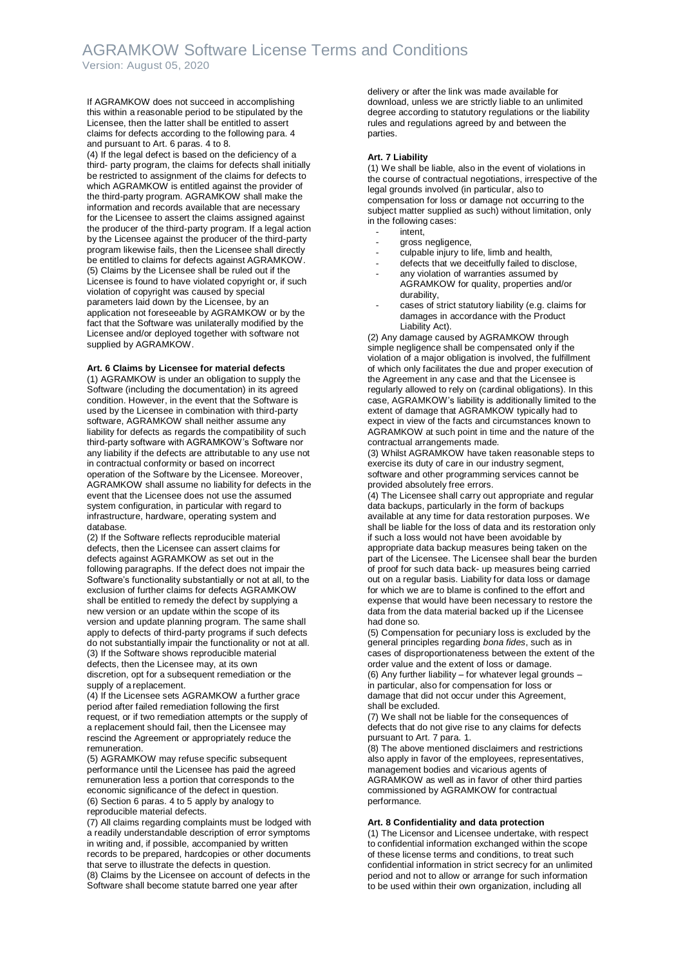## AGRAMKOW Software License Terms and Conditions Version: August 05, 2020

If AGRAMKOW does not succeed in accomplishing this within a reasonable period to be stipulated by the Licensee, then the latter shall be entitled to assert claims for defects according to the following para. 4 and pursuant to Art. 6 paras. 4 to 8.

(4) If the legal defect is based on the deficiency of a third- party program, the claims for defects shall initially be restricted to assignment of the claims for defects to which AGRAMKOW is entitled against the provider of the third-party program. AGRAMKOW shall make the information and records available that are necessary for the Licensee to assert the claims assigned against the producer of the third-party program. If a legal action by the Licensee against the producer of the third-party program likewise fails, then the Licensee shall directly be entitled to claims for defects against AGRAMKOW. (5) Claims by the Licensee shall be ruled out if the Licensee is found to have violated copyright or, if such violation of copyright was caused by special parameters laid down by the Licensee, by an application not foreseeable by AGRAMKOW or by the fact that the Software was unilaterally modified by the Licensee and/or deployed together with software not supplied by AGRAMKOW.

#### **Art. 6 Claims by Licensee for material defects**

(1) AGRAMKOW is under an obligation to supply the Software (including the documentation) in its agreed condition. However, in the event that the Software is used by the Licensee in combination with third-party software, AGRAMKOW shall neither assume any liability for defects as regards the compatibility of such third-party software with AGRAMKOW's Software nor any liability if the defects are attributable to any use not in contractual conformity or based on incorrect operation of the Software by the Licensee. Moreover, AGRAMKOW shall assume no liability for defects in the event that the Licensee does not use the assumed system configuration, in particular with regard to infrastructure, hardware, operating system and database.

(2) If the Software reflects reproducible material defects, then the Licensee can assert claims for defects against AGRAMKOW as set out in the following paragraphs. If the defect does not impair the Software's functionality substantially or not at all, to the exclusion of further claims for defects AGRAMKOW shall be entitled to remedy the defect by supplying a new version or an update within the scope of its version and update planning program. The same shall apply to defects of third-party programs if such defects do not substantially impair the functionality or not at all. (3) If the Software shows reproducible material defects, then the Licensee may, at its own discretion, opt for a subsequent remediation or the supply of a replacement.

(4) If the Licensee sets AGRAMKOW a further grace period after failed remediation following the first request, or if two remediation attempts or the supply of a replacement should fail, then the Licensee may rescind the Agreement or appropriately reduce the remuneration.

(5) AGRAMKOW may refuse specific subsequent performance until the Licensee has paid the agreed remuneration less a portion that corresponds to the economic significance of the defect in question. (6) Section 6 paras. 4 to 5 apply by analogy to reproducible material defects.

(7) All claims regarding complaints must be lodged with a readily understandable description of error symptoms in writing and, if possible, accompanied by written records to be prepared, hardcopies or other documents that serve to illustrate the defects in question. (8) Claims by the Licensee on account of defects in the

Software shall become statute barred one year after

delivery or after the link was made available for download, unless we are strictly liable to an unlimited degree according to statutory regulations or the liability rules and regulations agreed by and between the parties.

### **Art. 7 Liability**

(1) We shall be liable, also in the event of violations in the course of contractual negotiations, irrespective of the legal grounds involved (in particular, also to compensation for loss or damage not occurring to the subject matter supplied as such) without limitation, only in the following cases:

- intent.
- gross negligence,
- culpable injury to life, limb and health,
- defects that we deceitfully failed to disclose,
- any violation of warranties assumed by AGRAMKOW for quality, properties and/or durability,
- cases of strict statutory liability (e.g. claims for damages in accordance with the Product Liability Act).

(2) Any damage caused by AGRAMKOW through simple negligence shall be compensated only if the violation of a major obligation is involved, the fulfillment of which only facilitates the due and proper execution of the Agreement in any case and that the Licensee is regularly allowed to rely on (cardinal obligations). In this case, AGRAMKOW's liability is additionally limited to the extent of damage that AGRAMKOW typically had to expect in view of the facts and circumstances known to AGRAMKOW at such point in time and the nature of the contractual arrangements made.

(3) Whilst AGRAMKOW have taken reasonable steps to exercise its duty of care in our industry segment, software and other programming services cannot be provided absolutely free errors.

(4) The Licensee shall carry out appropriate and regular data backups, particularly in the form of backups available at any time for data restoration purposes. We shall be liable for the loss of data and its restoration only if such a loss would not have been avoidable by appropriate data backup measures being taken on the part of the Licensee. The Licensee shall bear the burden of proof for such data back- up measures being carried out on a regular basis. Liability for data loss or damage for which we are to blame is confined to the effort and expense that would have been necessary to restore the data from the data material backed up if the Licensee had done so.

(5) Compensation for pecuniary loss is excluded by the general principles regarding *bona fides*, such as in cases of disproportionateness between the extent of the order value and the extent of loss or damage. (6) Any further liability – for whatever legal grounds – in particular, also for compensation for loss or damage that did not occur under this Agreement, shall be excluded.

(7) We shall not be liable for the consequences of defects that do not give rise to any claims for defects pursuant to Art. 7 para. 1.

(8) The above mentioned disclaimers and restrictions also apply in favor of the employees, representatives, management bodies and vicarious agents of AGRAMKOW as well as in favor of other third parties commissioned by AGRAMKOW for contractual performance.

#### **Art. 8 Confidentiality and data protection**

(1) The Licensor and Licensee undertake, with respect to confidential information exchanged within the scope of these license terms and conditions, to treat such confidential information in strict secrecy for an unlimited period and not to allow or arrange for such information to be used within their own organization, including all